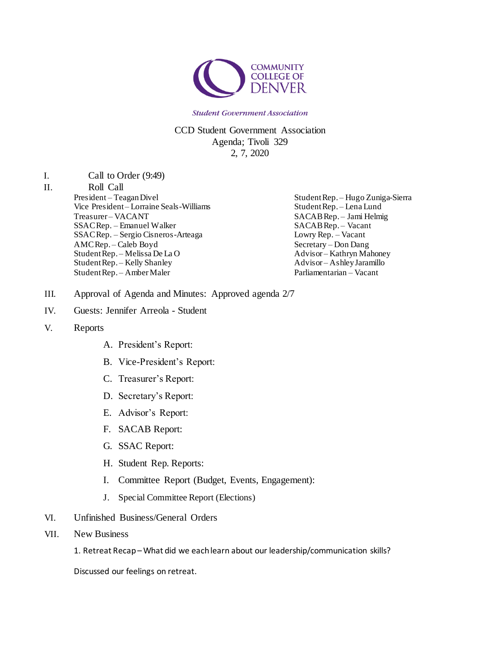

#### CCD Student Government Association Agenda; Tivoli 329 2, 7, 2020

I. Call to Order (9:49)

#### II. Roll Call

President – Teagan Divel Vice President – Lorraine Seals-Williams Treasurer – VACANT SSAC Rep. – Emanuel Walker SSAC Rep. – Sergio Cisneros-Arteaga AMC Rep. – Caleb Boyd Student Rep. – Melissa De La O Student Rep. – Kelly Shanley Student Rep. – Amber Maler

Student Rep. – Hugo Zuniga-Sierra Student Rep. – Lena Lund SACAB Rep. – Jami Helmig SACAB Rep. – Vacant Lowry Rep. – Vacant Secretary – Don Dang Advisor – Kathryn Mahoney Advisor – Ashley Jaramillo Parliamentarian – Vacant

- III. Approval of Agenda and Minutes: Approved agenda 2/7
- IV. Guests: Jennifer Arreola Student
- V. Reports
	- A. President's Report:
	- B. Vice-President's Report:
	- C. Treasurer's Report:
	- D. Secretary's Report:
	- E. Advisor's Report:
	- F. SACAB Report:
	- G. SSAC Report:
	- H. Student Rep. Reports:
	- I. Committee Report (Budget, Events, Engagement):
	- J. Special Committee Report (Elections)
- VI. Unfinished Business/General Orders
- VII. New Business
	- 1. Retreat Recap –What did we each learn about our leadership/communication skills?

Discussed our feelings on retreat.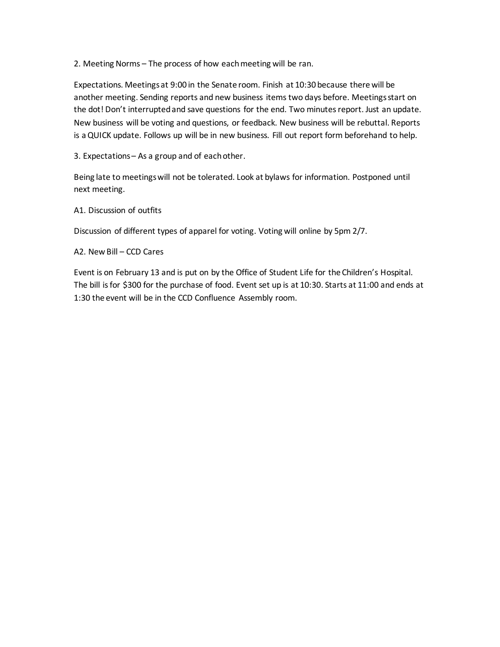2. Meeting Norms – The process of how each meeting will be ran.

Expectations. Meetings at 9:00 in the Senate room. Finish at 10:30 because there will be another meeting. Sending reports and new business items two days before. Meetings start on the dot! Don't interrupted and save questions for the end. Two minutes report. Just an update. New business will be voting and questions, or feedback. New business will be rebuttal. Reports is a QUICK update. Follows up will be in new business. Fill out report form beforehand to help.

3. Expectations – As a group and of each other.

Being late to meetings will not be tolerated. Look at bylaws for information. Postponed until next meeting.

A1. Discussion of outfits

Discussion of different types of apparel for voting. Voting will online by 5pm 2/7.

A2. New Bill – CCD Cares

Event is on February 13 and is put on by the Office of Student Life for the Children's Hospital. The bill is for \$300 for the purchase of food. Event set up is at 10:30. Starts at 11:00 and ends at 1:30 the event will be in the CCD Confluence Assembly room.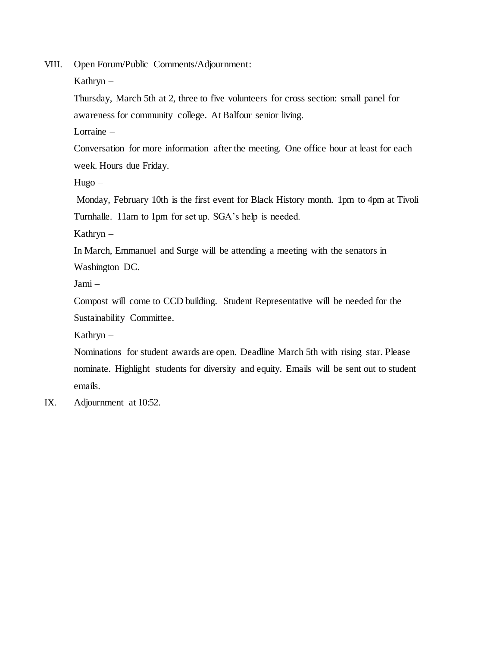VIII. Open Forum/Public Comments/Adjournment:

Kathryn –

Thursday, March 5th at 2, three to five volunteers for cross section: small panel for awareness for community college. At Balfour senior living.

Lorraine –

Conversation for more information after the meeting. One office hour at least for each week. Hours due Friday.

Hugo –

Monday, February 10th is the first event for Black History month. 1pm to 4pm at Tivoli Turnhalle. 11am to 1pm for set up. SGA's help is needed.

Kathryn –

In March, Emmanuel and Surge will be attending a meeting with the senators in Washington DC.

Jami –

Compost will come to CCD building. Student Representative will be needed for the Sustainability Committee.

Kathryn –

Nominations for student awards are open. Deadline March 5th with rising star. Please nominate. Highlight students for diversity and equity. Emails will be sent out to student emails.

IX. Adjournment at 10:52.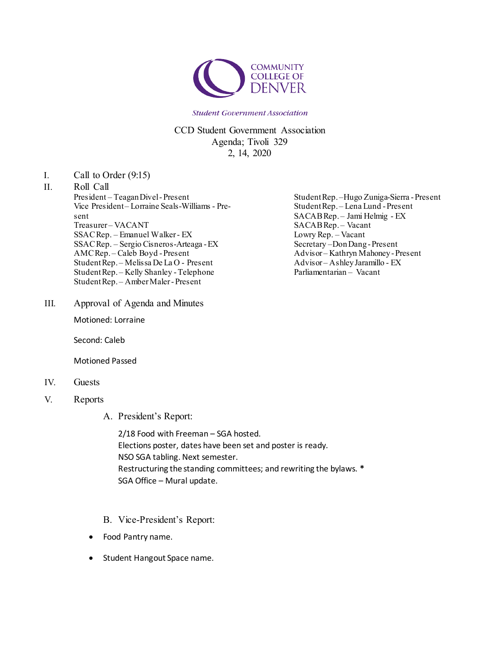

CCD Student Government Association Agenda; Tivoli 329 2, 14, 2020

I. Call to Order (9:15)

## II. Roll Call

President – TeaganDivel-Present Vice President– Lorraine Seals-Williams - Present Treasurer-VACANT SSACRep. – Emanuel Walker- EX SSACRep. – Sergio Cisneros-Arteaga -EX AMCRep. – Caleb Boyd -Present Student Rep. - Melissa De La O - Present StudentRep. – Kelly Shanley -Telephone StudentRep. – Amber Maler - Present

III. Approval of Agenda and Minutes

Motioned: Lorraine

Second: Caleb

Motioned Passed

#### IV. Guests

- V. Reports
	- A. President's Report:

2/18 Food with Freeman – SGA hosted. Elections poster, dates have been set and poster is ready. NSO SGA tabling. Next semester. Restructuring the standing committees; and rewriting the bylaws. **\*** SGA Office – Mural update.

- B. Vice-President's Report:
- Food Pantry name.
- Student Hangout Space name.

StudentRep. –Hugo Zuniga-Sierra -Present StudentRep. – Lena Lund -Present SACABRep. – Jami Helmig - EX SACABRep. – Vacant Lowry Rep. – Vacant Secretary –DonDang-Present Advisor – Kathryn Mahoney-Present Advisor – AshleyJaramillo - EX Parliamentarian – Vacant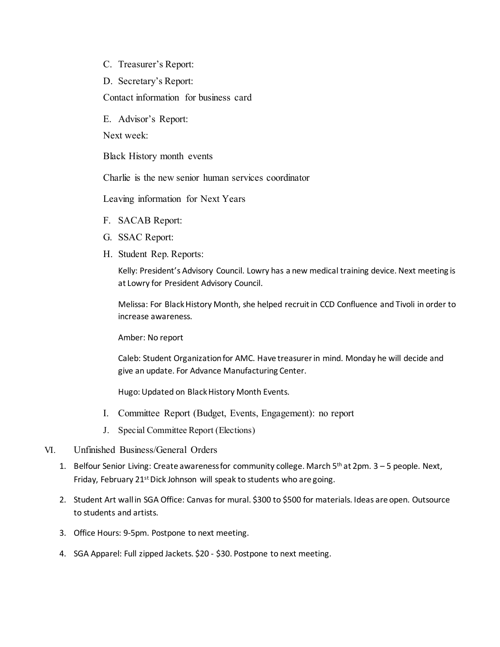- C. Treasurer's Report:
- D. Secretary's Report:

Contact information for business card

E. Advisor's Report:

Next week:

Black History month events

Charlie is the new senior human services coordinator

Leaving information for Next Years

- F. SACAB Report:
- G. SSAC Report:
- H. Student Rep. Reports:

Kelly: President's Advisory Council. Lowry has a new medical training device. Next meeting is at Lowry for President Advisory Council.

Melissa: For BlackHistory Month, she helped recruitin CCD Confluence and Tivoli in order to increase awareness.

Amber: No report

Caleb: Student Organizationfor AMC. Have treasurerin mind. Monday he will decide and give an update. For Advance Manufacturing Center.

Hugo: Updated on BlackHistory Month Events.

- I. Committee Report (Budget, Events, Engagement): no report
- J. Special Committee Report (Elections)
- VI. Unfinished Business/General Orders
	- 1. Belfour Senior Living: Create awareness for community college. March 5<sup>th</sup> at 2pm. 3 5 people. Next, Friday, February 21<sup>st</sup> Dick Johnson will speak to students who are going.
	- 2. Student Art wall in SGA Office: Canvas for mural. \$300 to \$500 for materials. Ideas are open. Outsource to students and artists.
	- 3. Office Hours: 9-5pm. Postpone to next meeting.
	- 4. SGA Apparel: Full zipped Jackets. \$20 \$30. Postpone to next meeting.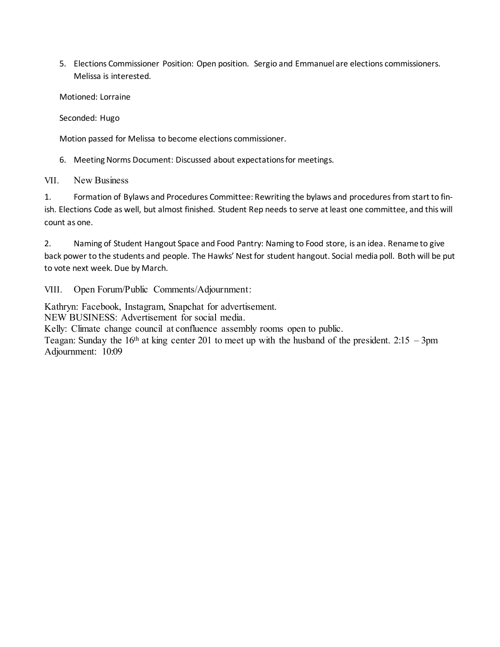5. Elections Commissioner Position: Open position. Sergio and Emmanuel are elections commissioners. Melissa is interested.

Motioned: Lorraine

Seconded: Hugo

Motion passed for Melissa to become elections commissioner.

6. Meeting Norms Document: Discussed about expectationsfor meetings.

VII. New Business

1. Formation of Bylaws and Procedures Committee: Rewriting the bylaws and procedures from start to finish. Elections Code as well, but almost finished. Student Rep needs to serve atleast one committee, and this will count as one.

2. Naming of Student Hangout Space and Food Pantry: Naming to Food store, is an idea. Rename to give back power to the students and people. The Hawks' Nest for student hangout. Social media poll. Both will be put to vote next week. Due by March.

VIII. Open Forum/Public Comments/Adjournment:

Kathryn: Facebook, Instagram, Snapchat for advertisement.

NEW BUSINESS: Advertisement for social media.

Kelly: Climate change council at confluence assembly rooms open to public.

Teagan: Sunday the  $16<sup>th</sup>$  at king center 201 to meet up with the husband of the president. 2:15 – 3pm Adjournment: 10:09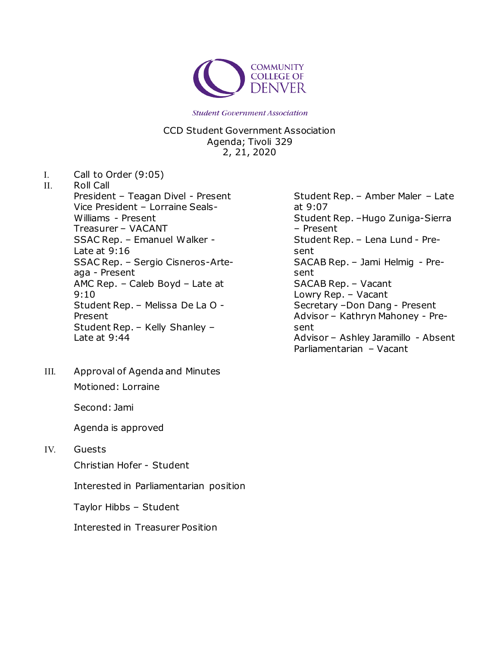

CCD Student Government Association Agenda; Tivoli 329 2, 21, 2020

I. Call to Order (9:05)

II. Roll Call President – Teagan Divel - Present Vice President – Lorraine Seals-Williams - Present Treasurer – VACANT SSAC Rep. – Emanuel Walker - Late at 9:16 SSAC Rep. – Sergio Cisneros-Arteaga - Present AMC Rep. – Caleb Boyd – Late at 9:10 Student Rep. – Melissa De La O - Present Student Rep. – Kelly Shanley – Late at 9:44

III. Approval of Agenda and Minutes Motioned: Lorraine

Second: Jami

Agenda is approved

IV. Guests

Christian Hofer - Student

Interested in Parliamentarian position

Taylor Hibbs – Student

Interested in Treasurer Position

Student Rep. – Amber Maler – Late at 9:07 Student Rep. –Hugo Zuniga-Sierra – Present Student Rep. – Lena Lund - Present SACAB Rep. – Jami Helmig - Present SACAB Rep. – Vacant Lowry Rep. – Vacant Secretary –Don Dang - Present Advisor – Kathryn Mahoney - Present Advisor – Ashley Jaramillo - Absent Parliamentarian – Vacant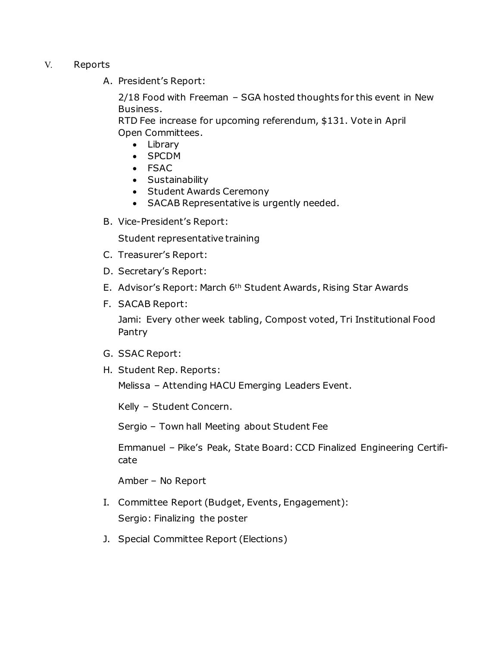- V. Reports
	- A. President's Report:

2/18 Food with Freeman – SGA hosted thoughts for this event in New Business.

RTD Fee increase for upcoming referendum, \$131. Vote in April Open Committees.

- Library
- SPCDM
- FSAC
- Sustainability
- Student Awards Ceremony
- SACAB Representative is urgently needed.
- B. Vice-President's Report:

Student representative training

- C. Treasurer's Report:
- D. Secretary's Report:
- E. Advisor's Report: March 6th Student Awards, Rising Star Awards
- F. SACAB Report:

Jami: Every other week tabling, Compost voted, Tri Institutional Food Pantry

- G. SSAC Report:
- H. Student Rep. Reports:

Melissa – Attending HACU Emerging Leaders Event.

Kelly – Student Concern.

Sergio – Town hall Meeting about Student Fee

Emmanuel – Pike's Peak, State Board: CCD Finalized Engineering Certificate

Amber – No Report

- I. Committee Report (Budget, Events, Engagement): Sergio: Finalizing the poster
- J. Special Committee Report (Elections)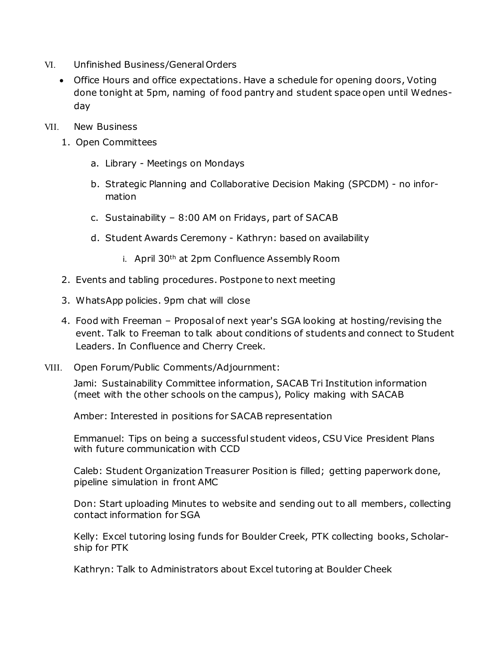- VI. Unfinished Business/GeneralOrders
	- Office Hours and office expectations. Have a schedule for opening doors, Voting done tonight at 5pm, naming of food pantry and student space open until Wednesday
- VII. New Business
	- 1. Open Committees
		- a. Library Meetings on Mondays
		- b. Strategic Planning and Collaborative Decision Making (SPCDM) no information
		- c. Sustainability 8:00 AM on Fridays, part of SACAB
		- d. Student Awards Ceremony Kathryn: based on availability
			- i. April 30th at 2pm Confluence Assembly Room
	- 2. Events and tabling procedures. Postpone to next meeting
	- 3. WhatsApp policies. 9pm chat will close
	- 4. Food with Freeman Proposal of next year's SGA looking at hosting/revising the event. Talk to Freeman to talk about conditions of students and connect to Student Leaders. In Confluence and Cherry Creek.
- VIII. Open Forum/Public Comments/Adjournment:

Jami: Sustainability Committee information, SACAB Tri Institution information (meet with the other schools on the campus), Policy making with SACAB

Amber: Interested in positions for SACAB representation

Emmanuel: Tips on being a successful student videos, CSU Vice President Plans with future communication with CCD

Caleb: Student Organization Treasurer Position is filled; getting paperwork done, pipeline simulation in front AMC

Don: Start uploading Minutes to website and sending out to all members, collecting contact information for SGA

Kelly: Excel tutoring losing funds for Boulder Creek, PTK collecting books, Scholarship for PTK

Kathryn: Talk to Administrators about Excel tutoring at Boulder Cheek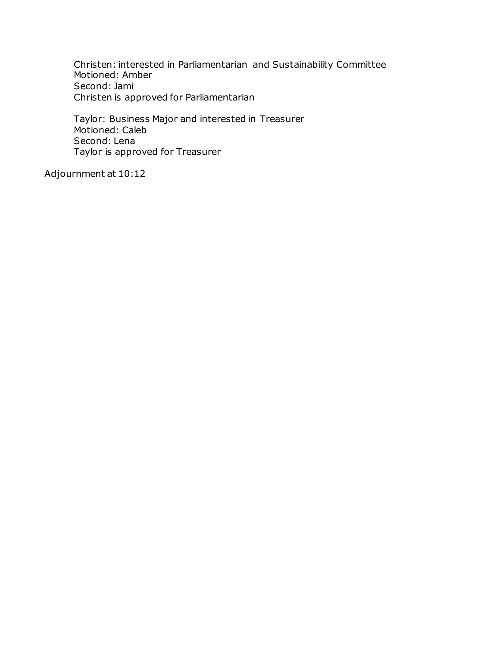Christen: interested in Parliamentarian and Sustainability Committee Motioned: Amber Second: Jami Christen is approved for Parliamentarian

Taylor: Business Major and interested in Treasurer Motioned: Caleb Second: Lena Taylor is approved for Treasurer

Adjournment at 10:12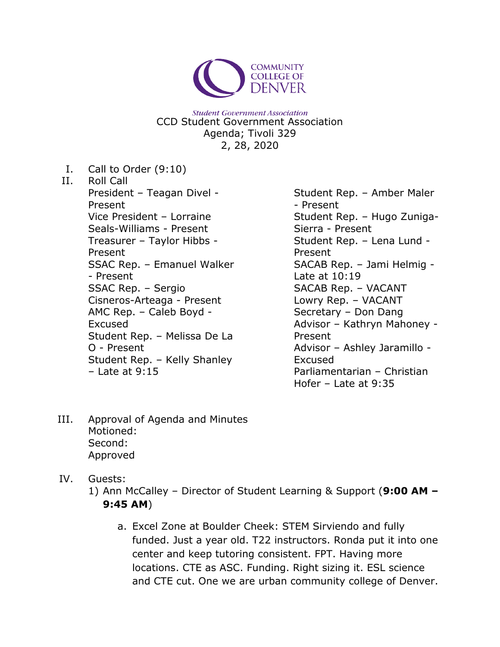

**Student Government Association** CCD Student Government Association Agenda; Tivoli 329 2, 28, 2020

I. Call to Order (9:10)

II. Roll Call President – Teagan Divel - Present Vice President – Lorraine Seals-Williams - Present Treasurer – Taylor Hibbs - Present SSAC Rep. – Emanuel Walker - Present SSAC Rep. – Sergio Cisneros-Arteaga - Present AMC Rep. – Caleb Boyd - Excused Student Rep. – Melissa De La O - Present Student Rep. – Kelly Shanley  $-$  Late at 9:15

Student Rep. – Amber Maler - Present Student Rep. – Hugo Zuniga-Sierra - Present Student Rep. – Lena Lund - Present SACAB Rep. – Jami Helmig - Late at 10:19 SACAB Rep. – VACANT Lowry Rep. – VACANT Secretary – Don Dang Advisor – Kathryn Mahoney - Present Advisor – Ashley Jaramillo - Excused Parliamentarian – Christian Hofer – Late at 9:35

- III. Approval of Agenda and Minutes Motioned: Second: Approved
- IV. Guests:
	- 1) Ann McCalley Director of Student Learning & Support (**9:00 AM – 9:45 AM**)
		- a. Excel Zone at Boulder Cheek: STEM Sirviendo and fully funded. Just a year old. T22 instructors. Ronda put it into one center and keep tutoring consistent. FPT. Having more locations. CTE as ASC. Funding. Right sizing it. ESL science and CTE cut. One we are urban community college of Denver.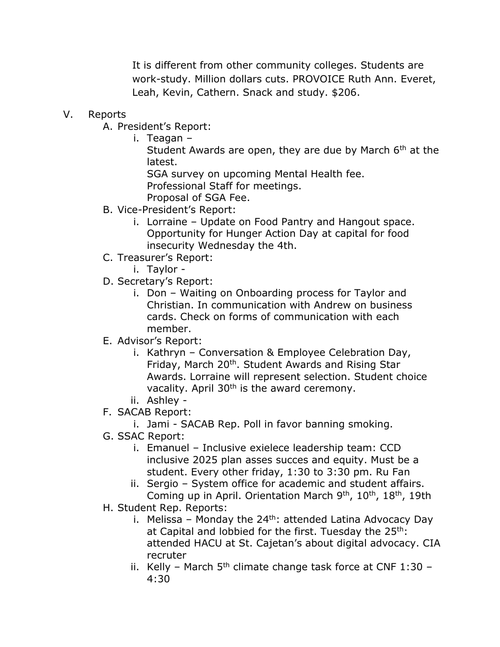It is different from other community colleges. Students are work-study. Million dollars cuts. PROVOICE Ruth Ann. Everet, Leah, Kevin, Cathern. Snack and study. \$206.

### V. Reports

A. President's Report:

i. Teagan –

Student Awards are open, they are due by March  $6<sup>th</sup>$  at the latest.

SGA survey on upcoming Mental Health fee. Professional Staff for meetings.

- Proposal of SGA Fee.
- B. Vice-President's Report:
	- i. Lorraine Update on Food Pantry and Hangout space. Opportunity for Hunger Action Day at capital for food insecurity Wednesday the 4th.
- C. Treasurer's Report:
	- i. Taylor -
- D. Secretary's Report:
	- i. Don Waiting on Onboarding process for Taylor and Christian. In communication with Andrew on business cards. Check on forms of communication with each member.
- E. Advisor's Report:
	- i. Kathryn Conversation & Employee Celebration Day, Friday, March 20<sup>th</sup>. Student Awards and Rising Star Awards. Lorraine will represent selection. Student choice vacality. April 30<sup>th</sup> is the award ceremony.
	- ii. Ashley -
- F. SACAB Report:
	- i. Jami SACAB Rep. Poll in favor banning smoking.
- G. SSAC Report:
	- i. Emanuel Inclusive exielece leadership team: CCD inclusive 2025 plan asses succes and equity. Must be a student. Every other friday, 1:30 to 3:30 pm. Ru Fan
	- ii. Sergio System office for academic and student affairs. Coming up in April. Orientation March 9<sup>th</sup>, 10<sup>th</sup>, 18<sup>th</sup>, 19th
- H. Student Rep. Reports:
	- i. Melissa Monday the  $24<sup>th</sup>$ : attended Latina Advocacy Day at Capital and lobbied for the first. Tuesday the 25<sup>th</sup>: attended HACU at St. Cajetan's about digital advocacy. CIA recruter
	- ii. Kelly March  $5<sup>th</sup>$  climate change task force at CNF 1:30 4:30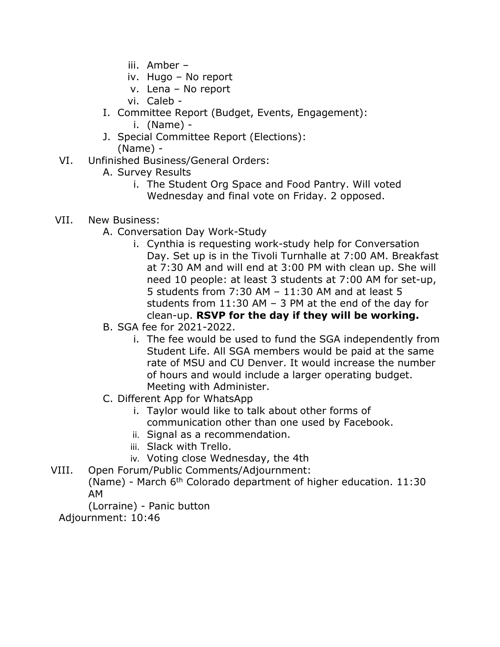- iii. Amber –
- iv. Hugo No report
- v. Lena No report
- vi. Caleb -
- I. Committee Report (Budget, Events, Engagement):
	- i. (Name) -
- J. Special Committee Report (Elections):
	- (Name) -
- VI. Unfinished Business/General Orders:
	- A. Survey Results
		- i. The Student Org Space and Food Pantry. Will voted Wednesday and final vote on Friday. 2 opposed.
- VII. New Business:
	- A. Conversation Day Work-Study
		- i. Cynthia is requesting work-study help for Conversation Day. Set up is in the Tivoli Turnhalle at 7:00 AM. Breakfast at 7:30 AM and will end at 3:00 PM with clean up. She will need 10 people: at least 3 students at 7:00 AM for set-up, 5 students from 7:30 AM – 11:30 AM and at least 5 students from 11:30 AM – 3 PM at the end of the day for clean-up. **RSVP for the day if they will be working.**
	- B. SGA fee for 2021-2022.
		- i. The fee would be used to fund the SGA independently from Student Life. All SGA members would be paid at the same rate of MSU and CU Denver. It would increase the number of hours and would include a larger operating budget. Meeting with Administer.
	- C. Different App for WhatsApp
		- i. Taylor would like to talk about other forms of communication other than one used by Facebook.
		- ii. Signal as a recommendation.
		- iii. Slack with Trello.
		- iv. Voting close Wednesday, the 4th
- VIII. Open Forum/Public Comments/Adjournment:
	- (Name) March  $6<sup>th</sup>$  Colorado department of higher education. 11:30 AM
	- (Lorraine) Panic button

Adjournment: 10:46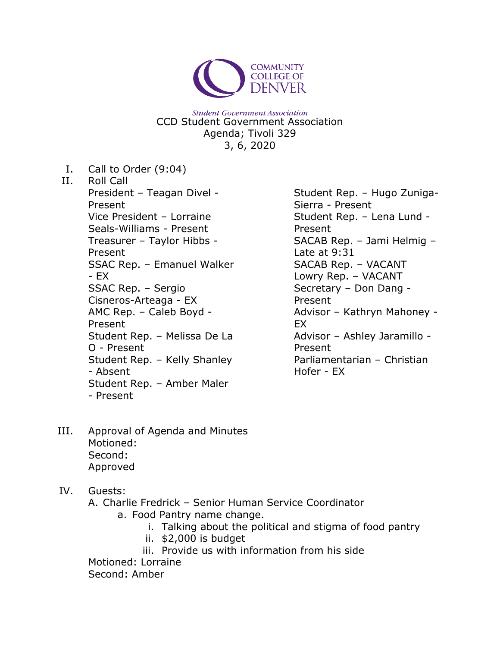

**Student Government Association** CCD Student Government Association Agenda; Tivoli 329 3, 6, 2020

I. Call to Order (9:04) II. Roll Call President – Teagan Divel - Present Vice President – Lorraine Seals-Williams - Present Treasurer – Taylor Hibbs - Present SSAC Rep. – Emanuel Walker - EX SSAC Rep. – Sergio Cisneros-Arteaga - EX AMC Rep. – Caleb Boyd - Present Student Rep. – Melissa De La O - Present Student Rep. – Kelly Shanley - Absent Student Rep. – Amber Maler - Present

Student Rep. – Hugo Zuniga-Sierra - Present Student Rep. – Lena Lund - Present SACAB Rep. – Jami Helmig – Late at 9:31 SACAB Rep. – VACANT Lowry Rep. – VACANT Secretary – Don Dang - Present Advisor – Kathryn Mahoney - EX Advisor – Ashley Jaramillo - Present Parliamentarian – Christian Hofer - EX

- III. Approval of Agenda and Minutes Motioned: Second: Approved
- IV. Guests:
	- A. Charlie Fredrick Senior Human Service Coordinator
		- a. Food Pantry name change.
			- i. Talking about the political and stigma of food pantry
			- ii. \$2,000 is budget
			- iii. Provide us with information from his side

Motioned: Lorraine

Second: Amber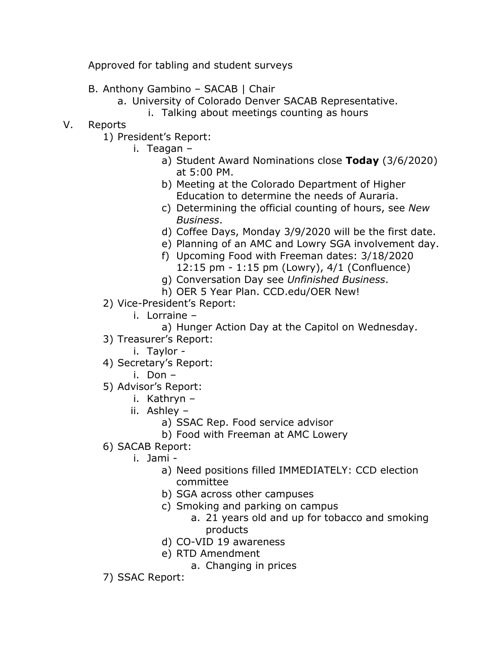Approved for tabling and student surveys

- B. Anthony Gambino SACAB | Chair
	- a. University of Colorado Denver SACAB Representative.
		- i. Talking about meetings counting as hours
- V. Reports
	- 1) President's Report:
		- i. Teagan
			- a) Student Award Nominations close **Today** (3/6/2020) at 5:00 PM.
			- b) Meeting at the Colorado Department of Higher Education to determine the needs of Auraria.
			- c) Determining the official counting of hours, see *New Business*.
			- d) Coffee Days, Monday 3/9/2020 will be the first date.
			- e) Planning of an AMC and Lowry SGA involvement day.
			- f) Upcoming Food with Freeman dates: 3/18/2020 12:15 pm - 1:15 pm (Lowry), 4/1 (Confluence)
			- g) Conversation Day see *Unfinished Business*.
			- h) OER 5 Year Plan. CCD.edu/OER New!
	- 2) Vice-President's Report:
		- i. Lorraine
			- a) Hunger Action Day at the Capitol on Wednesday.
	- 3) Treasurer's Report:
		- i. Taylor -
	- 4) Secretary's Report:
		- i. Don –
	- 5) Advisor's Report:
		- i. Kathryn –
		- ii. Ashley
			- a) SSAC Rep. Food service advisor
			- b) Food with Freeman at AMC Lowery
	- 6) SACAB Report:
		- i. Jami
			- a) Need positions filled IMMEDIATELY: CCD election committee
			- b) SGA across other campuses
			- c) Smoking and parking on campus
				- a. 21 years old and up for tobacco and smoking products
			- d) CO-VID 19 awareness
			- e) RTD Amendment
				- a. Changing in prices
	- 7) SSAC Report: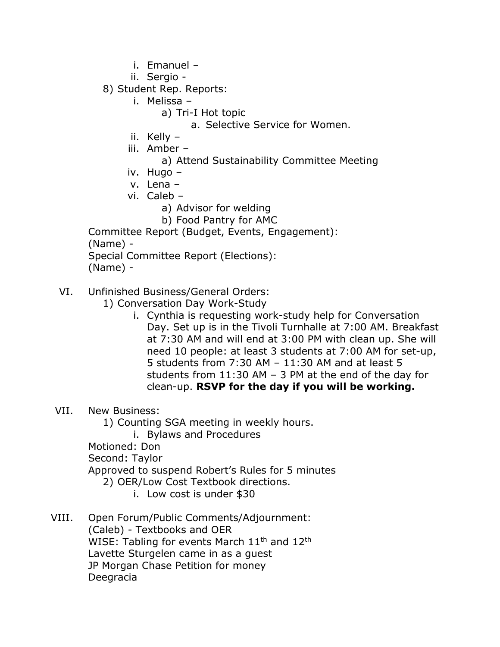- i. Emanuel –
- ii. Sergio -
- 8) Student Rep. Reports:
	- i. Melissa
		- a) Tri-I Hot topic
			- a. Selective Service for Women.
	- ii. Kelly –
	- iii. Amber
		- a) Attend Sustainability Committee Meeting
	- iv. Hugo –
	- v. Lena –
	- vi. Caleb
		- a) Advisor for welding
		- b) Food Pantry for AMC

Committee Report (Budget, Events, Engagement): (Name) - Special Committee Report (Elections):

(Name) -

- VI. Unfinished Business/General Orders:
	- 1) Conversation Day Work-Study
		- i. Cynthia is requesting work-study help for Conversation Day. Set up is in the Tivoli Turnhalle at 7:00 AM. Breakfast at 7:30 AM and will end at 3:00 PM with clean up. She will need 10 people: at least 3 students at 7:00 AM for set-up, 5 students from 7:30 AM – 11:30 AM and at least 5 students from 11:30 AM – 3 PM at the end of the day for clean-up. **RSVP for the day if you will be working.**
- VII. New Business:
	- 1) Counting SGA meeting in weekly hours.
		- i. Bylaws and Procedures
	- Motioned: Don
	- Second: Taylor
	- Approved to suspend Robert's Rules for 5 minutes
		- 2) OER/Low Cost Textbook directions.
			- i. Low cost is under \$30
- VIII. Open Forum/Public Comments/Adjournment: (Caleb) - Textbooks and OER WISE: Tabling for events March  $11<sup>th</sup>$  and  $12<sup>th</sup>$ Lavette Sturgelen came in as a guest JP Morgan Chase Petition for money Deegracia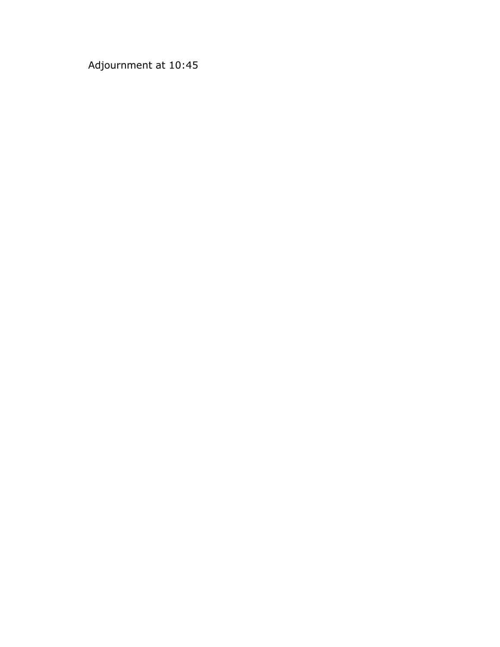Adjournment at 10:45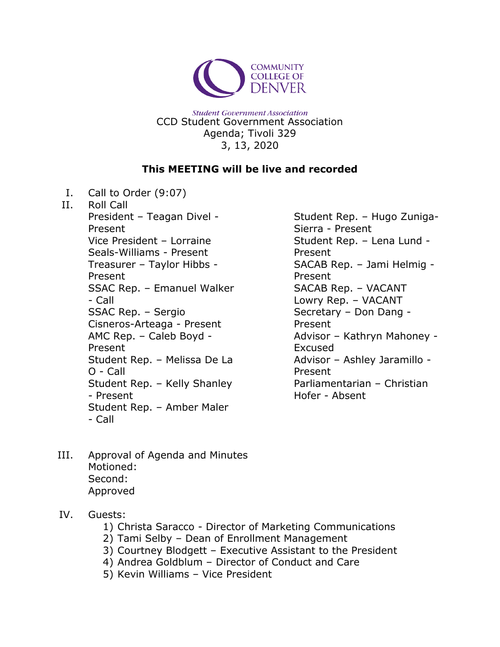

**Student Government Association** CCD Student Government Association Agenda; Tivoli 329 3, 13, 2020

## **This MEETING will be live and recorded**

I. Call to Order (9:07)

II. Roll Call President – Teagan Divel - Present Vice President – Lorraine Seals-Williams - Present Treasurer – Taylor Hibbs - Present SSAC Rep. – Emanuel Walker - Call SSAC Rep. – Sergio Cisneros-Arteaga - Present AMC Rep. – Caleb Boyd - Present Student Rep. – Melissa De La O - Call Student Rep. – Kelly Shanley - Present Student Rep. – Amber Maler - Call

Student Rep. – Hugo Zuniga-Sierra - Present Student Rep. – Lena Lund - Present SACAB Rep. – Jami Helmig - Present SACAB Rep. – VACANT Lowry Rep. – VACANT Secretary – Don Dang - Present Advisor – Kathryn Mahoney - Excused Advisor – Ashley Jaramillo - Present Parliamentarian – Christian Hofer - Absent

- III. Approval of Agenda and Minutes Motioned: Second: Approved
- IV. Guests:
	- 1) Christa Saracco Director of Marketing Communications
	- 2) Tami Selby Dean of Enrollment Management
	- 3) Courtney Blodgett Executive Assistant to the President
	- 4) Andrea Goldblum Director of Conduct and Care
	- 5) Kevin Williams Vice President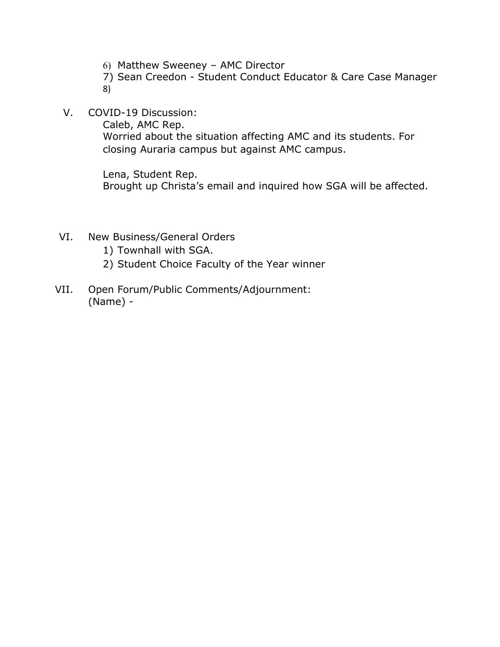- 6) Matthew Sweeney AMC Director
- 7) Sean Creedon Student Conduct Educator & Care Case Manager 8)
- V. COVID-19 Discussion:

Caleb, AMC Rep.

Worried about the situation affecting AMC and its students. For closing Auraria campus but against AMC campus.

Lena, Student Rep. Brought up Christa's email and inquired how SGA will be affected.

- VI. New Business/General Orders
	- 1) Townhall with SGA.
	- 2) Student Choice Faculty of the Year winner
- VII. Open Forum/Public Comments/Adjournment: (Name) -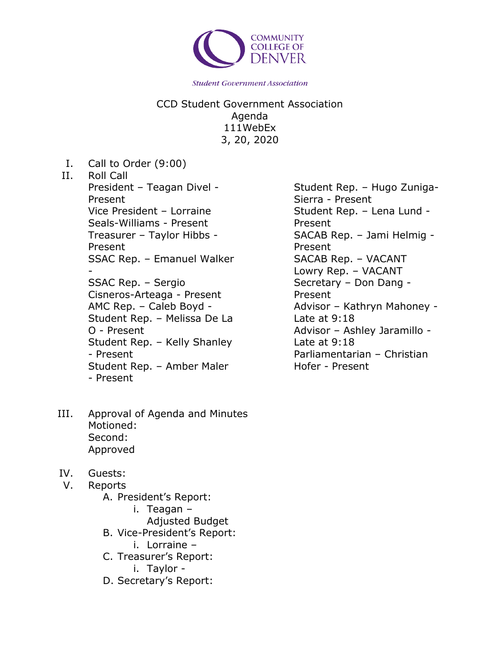

CCD Student Government Association Agenda 111WebEx 3, 20, 2020

I. Call to Order (9:00)

### II. Roll Call President – Teagan Divel - Present Vice President – Lorraine Seals-Williams - Present Treasurer – Taylor Hibbs - Present SSAC Rep. – Emanuel Walker - SSAC Rep. – Sergio Cisneros-Arteaga - Present AMC Rep. – Caleb Boyd - Student Rep. – Melissa De La O - Present Student Rep. – Kelly Shanley - Present Student Rep. – Amber Maler - Present

- III. Approval of Agenda and Minutes Motioned: Second: Approved
- IV. Guests:
- V. Reports
	- A. President's Report:
		- i. Teagan
			- Adjusted Budget
	- B. Vice-President's Report:
		- i. Lorraine –
	- C. Treasurer's Report:
		- i. Taylor -
	- D. Secretary's Report:

Student Rep. – Hugo Zuniga-Sierra - Present Student Rep. – Lena Lund - Present SACAB Rep. – Jami Helmig - Present SACAB Rep. – VACANT Lowry Rep. – VACANT Secretary – Don Dang - Present Advisor – Kathryn Mahoney - Late at 9:18 Advisor – Ashley Jaramillo - Late at 9:18 Parliamentarian – Christian Hofer - Present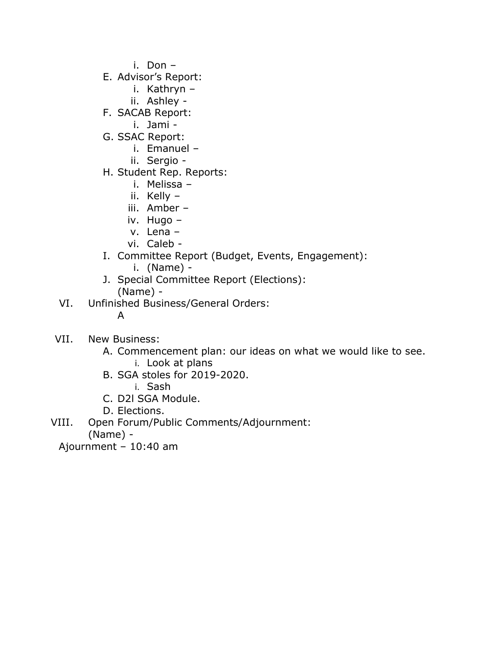i. Don –

- E. Advisor's Report:
	- i. Kathryn –
	- ii. Ashley -
- F. SACAB Report:
	- i. Jami -
- G. SSAC Report:
	- i. Emanuel –
	- ii. Sergio -
- H. Student Rep. Reports:
	- i. Melissa –
	- ii. Kelly –
	- iii. Amber –
	- iv. Hugo –
	- v. Lena –
	- vi. Caleb -
- I. Committee Report (Budget, Events, Engagement):
	- i. (Name) -
- J. Special Committee Report (Elections): (Name) -
- VI. Unfinished Business/General Orders:
	- A
- VII. New Business:
	- A. Commencement plan: our ideas on what we would like to see. i. Look at plans
	- B. SGA stoles for 2019-2020.
		- i. Sash
	- C. D2l SGA Module.
	- D. Elections.

VIII. Open Forum/Public Comments/Adjournment:

(Name) -

Ajournment – 10:40 am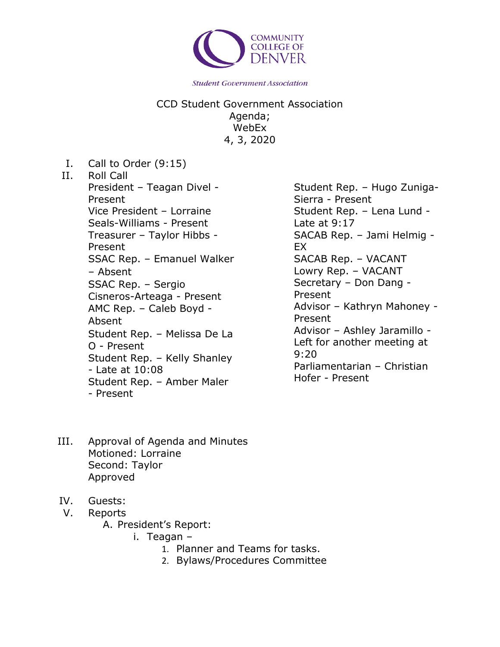

CCD Student Government Association Agenda; WebEx 4, 3, 2020

I. Call to Order (9:15)

II. Roll Call President – Teagan Divel - Present Vice President – Lorraine Seals-Williams - Present Treasurer – Taylor Hibbs - Present SSAC Rep. – Emanuel Walker – Absent SSAC Rep. – Sergio Cisneros-Arteaga - Present AMC Rep. – Caleb Boyd - Absent Student Rep. – Melissa De La O - Present Student Rep. – Kelly Shanley - Late at 10:08 Student Rep. – Amber Maler - Present

Student Rep. – Hugo Zuniga-Sierra - Present Student Rep. – Lena Lund - Late at 9:17 SACAB Rep. – Jami Helmig - EX SACAB Rep. – VACANT Lowry Rep. – VACANT Secretary – Don Dang - Present Advisor – Kathryn Mahoney - Present Advisor – Ashley Jaramillo - Left for another meeting at 9:20 Parliamentarian – Christian Hofer - Present

- III. Approval of Agenda and Minutes Motioned: Lorraine Second: Taylor Approved
- IV. Guests:
- V. Reports
	- A. President's Report:
		- i. Teagan
			- 1. Planner and Teams for tasks.
			- 2. Bylaws/Procedures Committee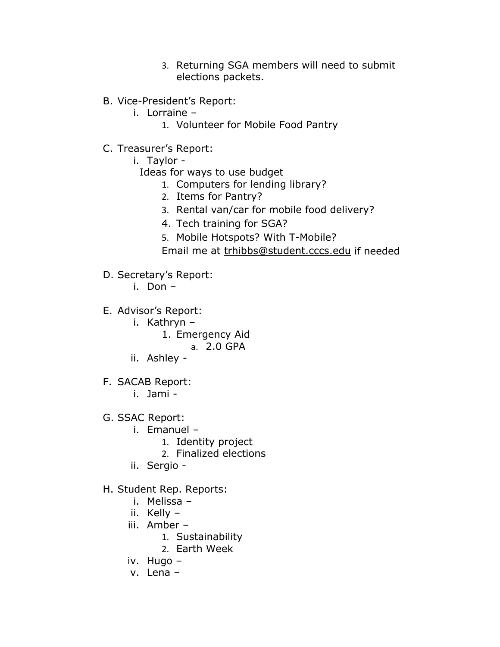- 3. Returning SGA members will need to submit elections packets.
- B. Vice-President's Report:
	- i. Lorraine
		- 1. Volunteer for Mobile Food Pantry
- C. Treasurer's Report:
	- i. Taylor
		- Ideas for ways to use budget
			- 1. Computers for lending library?
			- 2. Items for Pantry?
			- 3. Rental van/car for mobile food delivery?
			- 4. Tech training for SGA?
			- 5. Mobile Hotspots? With T-Mobile?
			- Email me at [trhibbs@student.cccs.edu](mailto:trhibbs@student.cccs.edu) if needed
- D. Secretary's Report:
	- i. Don –
- E. Advisor's Report:
	- i. Kathryn
		- 1. Emergency Aid
			- a. 2.0 GPA
	- ii. Ashley -
- F. SACAB Report:
	- i. Jami -
- G. SSAC Report:
	- i. Emanuel
		- 1. Identity project
		- 2. Finalized elections
	- ii. Sergio -
- H. Student Rep. Reports:
	- i. Melissa –
	- ii. Kelly –
	- iii. Amber
		- 1. Sustainability
		- 2. Earth Week
	- iv. Hugo –
	- v. Lena –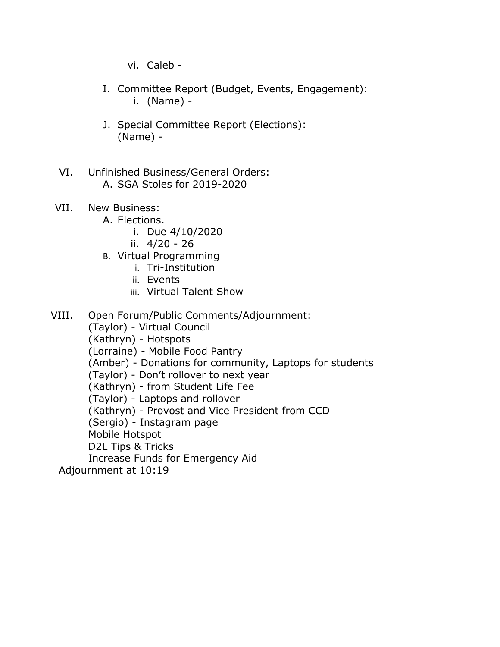vi. Caleb -

- I. Committee Report (Budget, Events, Engagement): i. (Name) -
- J. Special Committee Report (Elections): (Name) -
- VI. Unfinished Business/General Orders: A. SGA Stoles for 2019-2020
- VII. New Business:
	- A. Elections.
		- i. Due 4/10/2020
		- ii. 4/20 26
	- B. Virtual Programming
		- i. Tri-Institution
		- ii. Events
		- iii. Virtual Talent Show
- VIII. Open Forum/Public Comments/Adjournment:

(Taylor) - Virtual Council (Kathryn) - Hotspots (Lorraine) - Mobile Food Pantry (Amber) - Donations for community, Laptops for students (Taylor) - Don't rollover to next year (Kathryn) - from Student Life Fee (Taylor) - Laptops and rollover (Kathryn) - Provost and Vice President from CCD (Sergio) - Instagram page Mobile Hotspot D2L Tips & Tricks Increase Funds for Emergency Aid

Adjournment at 10:19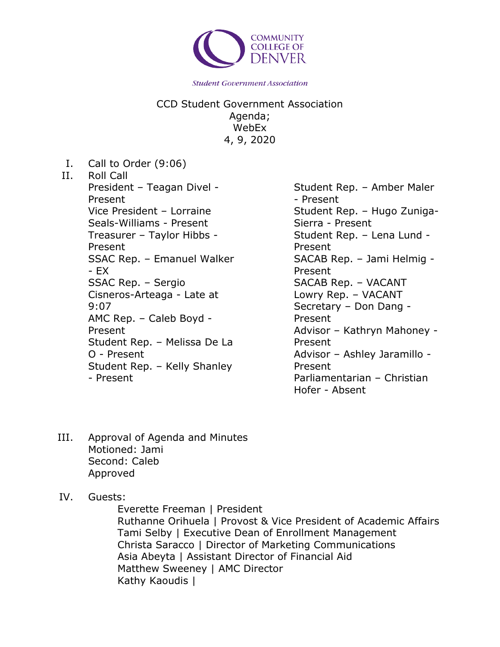

CCD Student Government Association Agenda; WebEx 4, 9, 2020

I. Call to Order (9:06) II. Roll Call President – Teagan Divel - Present Vice President – Lorraine Seals-Williams - Present Treasurer – Taylor Hibbs - Present SSAC Rep. – Emanuel Walker - EX SSAC Rep. – Sergio Cisneros-Arteaga - Late at 9:07 AMC Rep. – Caleb Boyd - Present Student Rep. – Melissa De La O - Present Student Rep. – Kelly Shanley - Present

Student Rep. – Amber Maler - Present Student Rep. – Hugo Zuniga-Sierra - Present Student Rep. – Lena Lund - Present SACAB Rep. – Jami Helmig - Present SACAB Rep. – VACANT Lowry Rep. – VACANT Secretary – Don Dang - Present Advisor – Kathryn Mahoney - Present Advisor – Ashley Jaramillo - Present Parliamentarian – Christian Hofer - Absent

- III. Approval of Agenda and Minutes Motioned: Jami Second: Caleb Approved
- IV. Guests:

Everette Freeman | President Ruthanne Orihuela | Provost & Vice President of Academic Affairs Tami Selby | Executive Dean of Enrollment Management Christa Saracco | Director of Marketing Communications Asia Abeyta | Assistant Director of Financial Aid Matthew Sweeney | AMC Director Kathy Kaoudis |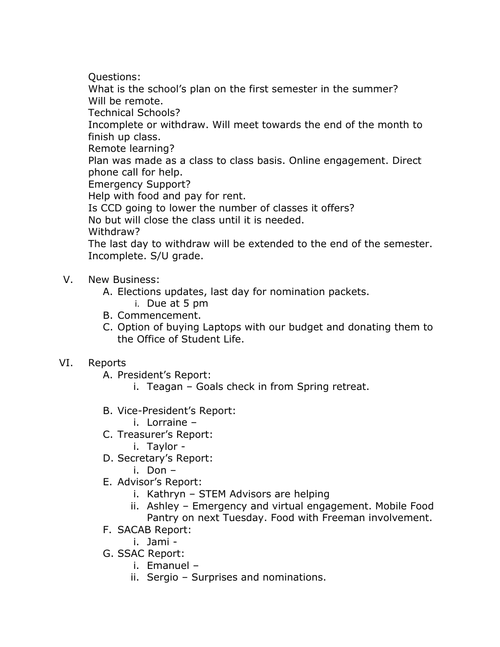Questions:

What is the school's plan on the first semester in the summer? Will be remote.

Technical Schools?

Incomplete or withdraw. Will meet towards the end of the month to finish up class.

Remote learning?

Plan was made as a class to class basis. Online engagement. Direct phone call for help.

Emergency Support?

Help with food and pay for rent.

Is CCD going to lower the number of classes it offers?

No but will close the class until it is needed.

Withdraw?

The last day to withdraw will be extended to the end of the semester. Incomplete. S/U grade.

# V. New Business:

- A. Elections updates, last day for nomination packets.
	- i. Due at 5 pm
- B. Commencement.
- C. Option of buying Laptops with our budget and donating them to the Office of Student Life.

# VI. Reports

A. President's Report:

- i. Teagan Goals check in from Spring retreat.
- B. Vice-President's Report:
	- i. Lorraine –
- C. Treasurer's Report:
	- i. Taylor -
- D. Secretary's Report:
	- i. Don –
- E. Advisor's Report:
	- i. Kathryn STEM Advisors are helping
	- ii. Ashley Emergency and virtual engagement. Mobile Food Pantry on next Tuesday. Food with Freeman involvement.
- F. SACAB Report:
	- i. Jami -
- G. SSAC Report:
	- i. Emanuel –
	- ii. Sergio Surprises and nominations.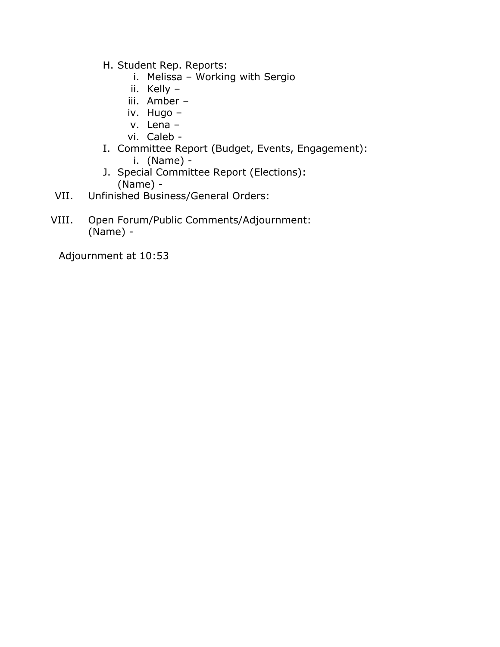- H. Student Rep. Reports:
	- i. Melissa Working with Sergio
	- ii. Kelly –
	- iii. Amber –
	- iv. Hugo –
	- v. Lena –
	- vi. Caleb -
- I. Committee Report (Budget, Events, Engagement): i. (Name) -
- J. Special Committee Report (Elections): (Name) -
- VII. Unfinished Business/General Orders:
- VIII. Open Forum/Public Comments/Adjournment: (Name) -

Adjournment at 10:53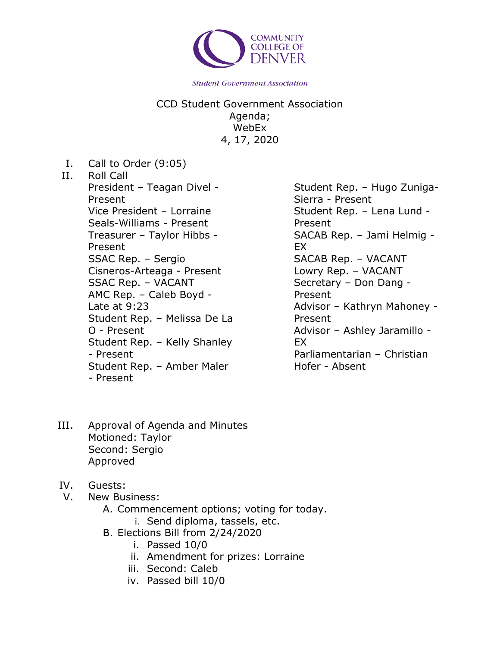

CCD Student Government Association Agenda; WebEx 4, 17, 2020

- I. Call to Order (9:05)
- II. Roll Call

President – Teagan Divel - Present Vice President – Lorraine Seals-Williams - Present Treasurer – Taylor Hibbs - Present SSAC Rep. – Sergio Cisneros-Arteaga - Present SSAC Rep. – VACANT AMC Rep. – Caleb Boyd - Late at 9:23 Student Rep. – Melissa De La O - Present Student Rep. – Kelly Shanley - Present Student Rep. – Amber Maler - Present

Student Rep. – Hugo Zuniga-Sierra - Present Student Rep. – Lena Lund - Present SACAB Rep. – Jami Helmig - EX SACAB Rep. – VACANT Lowry Rep. – VACANT Secretary – Don Dang - Present Advisor – Kathryn Mahoney - Present Advisor – Ashley Jaramillo - EX Parliamentarian – Christian Hofer - Absent

- III. Approval of Agenda and Minutes Motioned: Taylor Second: Sergio Approved
- IV. Guests:
- V. New Business:
	- A. Commencement options; voting for today.
		- i. Send diploma, tassels, etc.
	- B. Elections Bill from 2/24/2020
		- i. Passed 10/0
		- ii. Amendment for prizes: Lorraine
		- iii. Second: Caleb
		- iv. Passed bill 10/0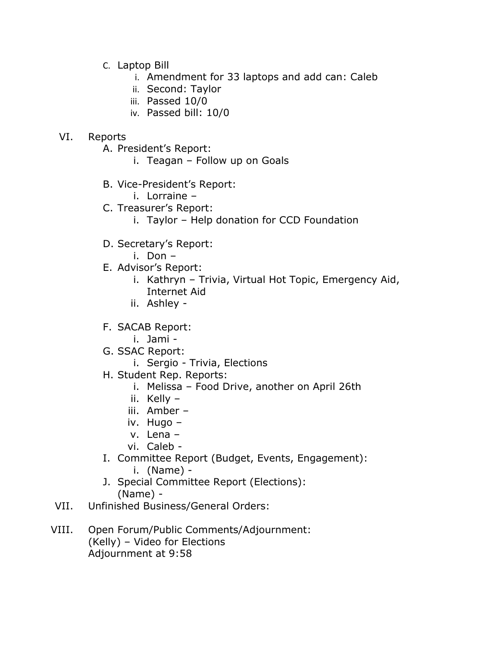- C. Laptop Bill
	- i. Amendment for 33 laptops and add can: Caleb
	- ii. Second: Taylor
	- iii. Passed 10/0
	- iv. Passed bill: 10/0

### VI. Reports

- A. President's Report:
	- i. Teagan Follow up on Goals
- B. Vice-President's Report:
	- i. Lorraine –
- C. Treasurer's Report:
	- i. Taylor Help donation for CCD Foundation
- D. Secretary's Report:
	- i. Don –
- E. Advisor's Report:
	- i. Kathryn Trivia, Virtual Hot Topic, Emergency Aid, Internet Aid
	- ii. Ashley -
- F. SACAB Report:
	- i. Jami -
- G. SSAC Report:
	- i. Sergio Trivia, Elections
- H. Student Rep. Reports:
	- i. Melissa Food Drive, another on April 26th
	- ii. Kelly –
	- iii. Amber –
	- iv. Hugo –
	- v. Lena –
	- vi. Caleb -
- I. Committee Report (Budget, Events, Engagement):
	- i. (Name) -
- J. Special Committee Report (Elections): (Name) -
- VII. Unfinished Business/General Orders:
- VIII. Open Forum/Public Comments/Adjournment: (Kelly) – Video for Elections Adjournment at 9:58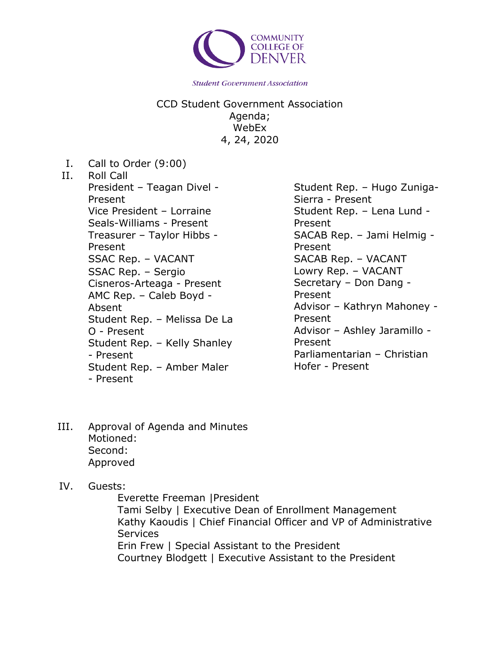

CCD Student Government Association Agenda; WebEx 4, 24, 2020

- I. Call to Order (9:00)
- II. Roll Call President – Teagan Divel - Present Vice President – Lorraine Seals-Williams - Present Treasurer – Taylor Hibbs - Present SSAC Rep. – VACANT SSAC Rep. – Sergio Cisneros-Arteaga - Present AMC Rep. – Caleb Boyd - Absent Student Rep. – Melissa De La O - Present Student Rep. – Kelly Shanley - Present Student Rep. – Amber Maler - Present

Student Rep. – Hugo Zuniga-Sierra - Present Student Rep. – Lena Lund - Present SACAB Rep. – Jami Helmig - Present SACAB Rep. – VACANT Lowry Rep. – VACANT Secretary – Don Dang - Present Advisor – Kathryn Mahoney - Present Advisor – Ashley Jaramillo - Present Parliamentarian – Christian Hofer - Present

- III. Approval of Agenda and Minutes Motioned: Second: Approved
- IV. Guests:

Everette Freeman |President Tami Selby | Executive Dean of Enrollment Management Kathy Kaoudis | Chief Financial Officer and VP of Administrative **Services** Erin Frew | Special Assistant to the President Courtney Blodgett | Executive Assistant to the President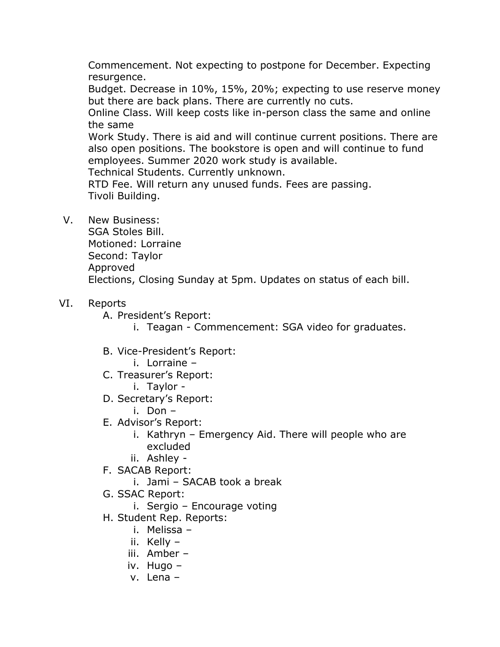Commencement. Not expecting to postpone for December. Expecting resurgence.

Budget. Decrease in 10%, 15%, 20%; expecting to use reserve money but there are back plans. There are currently no cuts.

Online Class. Will keep costs like in-person class the same and online the same

Work Study. There is aid and will continue current positions. There are also open positions. The bookstore is open and will continue to fund employees. Summer 2020 work study is available.

Technical Students. Currently unknown.

RTD Fee. Will return any unused funds. Fees are passing. Tivoli Building.

V. New Business:

SGA Stoles Bill. Motioned: Lorraine Second: Taylor Approved Elections, Closing Sunday at 5pm. Updates on status of each bill.

- VI. Reports
	- A. President's Report:
		- i. Teagan Commencement: SGA video for graduates.
	- B. Vice-President's Report:
		- i. Lorraine –
	- C. Treasurer's Report:
		- i. Taylor -
	- D. Secretary's Report:
		- i. Don –
	- E. Advisor's Report:
		- i. Kathryn Emergency Aid. There will people who are excluded
		- ii. Ashley -
	- F. SACAB Report:
		- i. Jami SACAB took a break
	- G. SSAC Report:
		- i. Sergio Encourage voting
	- H. Student Rep. Reports:
		- i. Melissa –
		- ii. Kelly –
		- iii. Amber –
		- iv. Hugo –
		- v. Lena –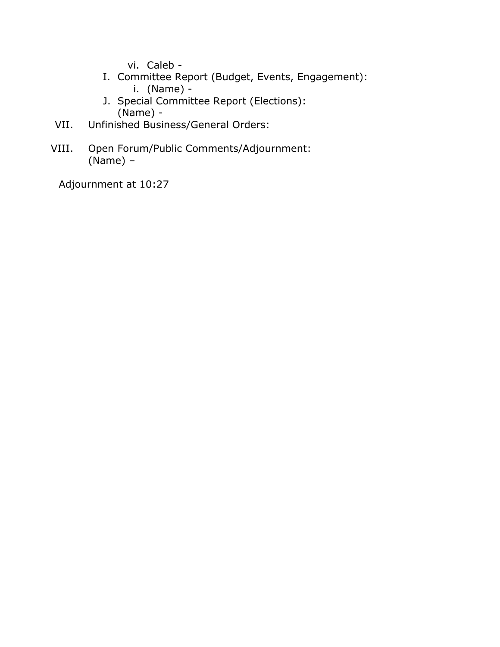vi. Caleb -

- I. Committee Report (Budget, Events, Engagement): i. (Name) -
- J. Special Committee Report (Elections): (Name) -
- VII. Unfinished Business/General Orders:
- VIII. Open Forum/Public Comments/Adjournment: (Name) –

Adjournment at 10:27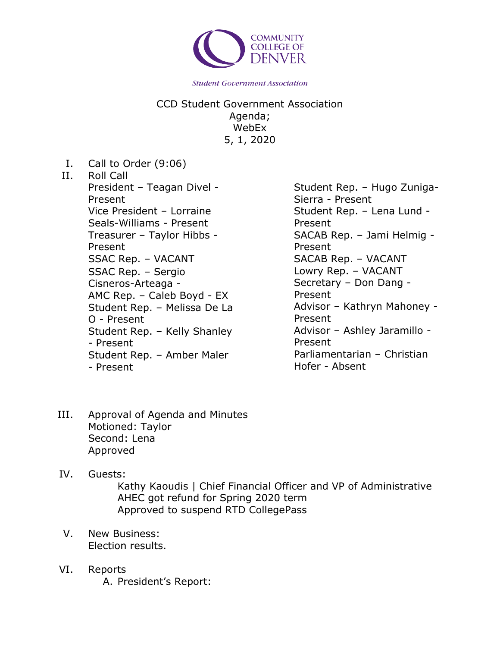

CCD Student Government Association Agenda; WebEx 5, 1, 2020

- I. Call to Order (9:06)
- II. Roll Call

President – Teagan Divel - Present Vice President – Lorraine Seals-Williams - Present Treasurer – Taylor Hibbs - Present SSAC Rep. – VACANT SSAC Rep. – Sergio Cisneros-Arteaga - AMC Rep. – Caleb Boyd - EX Student Rep. – Melissa De La O - Present Student Rep. – Kelly Shanley - Present Student Rep. – Amber Maler - Present

Student Rep. – Hugo Zuniga-Sierra - Present Student Rep. – Lena Lund - Present SACAB Rep. – Jami Helmig - Present SACAB Rep. – VACANT Lowry Rep. – VACANT Secretary – Don Dang - Present Advisor – Kathryn Mahoney - Present Advisor – Ashley Jaramillo - Present Parliamentarian – Christian Hofer - Absent

- III. Approval of Agenda and Minutes Motioned: Taylor Second: Lena Approved
- IV. Guests:

Kathy Kaoudis | Chief Financial Officer and VP of Administrative AHEC got refund for Spring 2020 term Approved to suspend RTD CollegePass

- V. New Business: Election results.
- VI. Reports A. President's Report: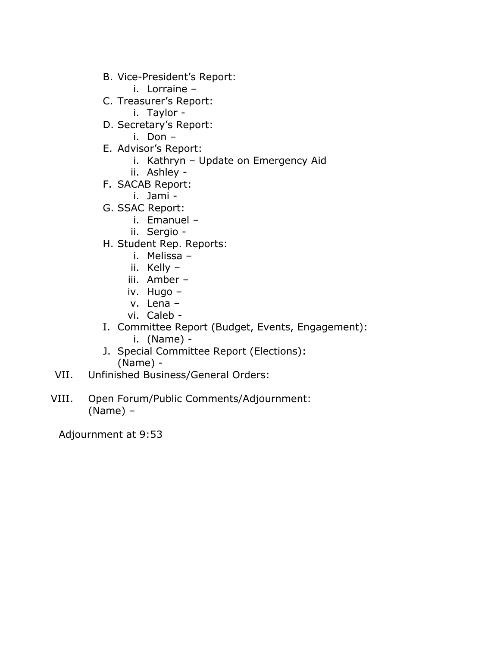- B. Vice-President's Report:
	- i. Lorraine –
- C. Treasurer's Report:
	- i. Taylor -
- D. Secretary's Report:
	- i. Don –
- E. Advisor's Report:
	- i. Kathryn Update on Emergency Aid
	- ii. Ashley -
- F. SACAB Report:
	- i. Jami -
- G. SSAC Report:
	- i. Emanuel –
	- ii. Sergio -
- H. Student Rep. Reports:
	- i. Melissa –
	- ii. Kelly –
	- iii. Amber –
	- iv. Hugo –
	- v. Lena –
	- vi. Caleb -
- I. Committee Report (Budget, Events, Engagement): i. (Name) -
- J. Special Committee Report (Elections): (Name) -
- VII. Unfinished Business/General Orders:
- VIII. Open Forum/Public Comments/Adjournment: (Name) –

Adjournment at 9:53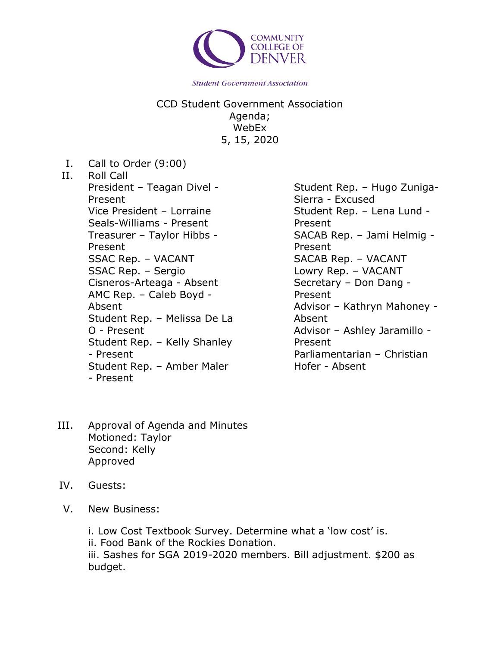

CCD Student Government Association Agenda; WebEx 5, 15, 2020

- I. Call to Order (9:00)
- II. Roll Call President – Teagan Divel - Present Vice President – Lorraine Seals-Williams - Present Treasurer – Taylor Hibbs - Present SSAC Rep. – VACANT SSAC Rep. – Sergio Cisneros-Arteaga - Absent AMC Rep. – Caleb Boyd - Absent Student Rep. – Melissa De La O - Present Student Rep. – Kelly Shanley - Present Student Rep. – Amber Maler - Present

Student Rep. – Hugo Zuniga-Sierra - Excused Student Rep. – Lena Lund - Present SACAB Rep. – Jami Helmig - Present SACAB Rep. – VACANT Lowry Rep. – VACANT Secretary – Don Dang - Present Advisor – Kathryn Mahoney - Absent Advisor – Ashley Jaramillo - Present Parliamentarian – Christian Hofer - Absent

- III. Approval of Agenda and Minutes Motioned: Taylor Second: Kelly Approved
- IV. Guests:
- V. New Business:

i. Low Cost Textbook Survey. Determine what a 'low cost' is.

ii. Food Bank of the Rockies Donation.

iii. Sashes for SGA 2019-2020 members. Bill adjustment. \$200 as budget.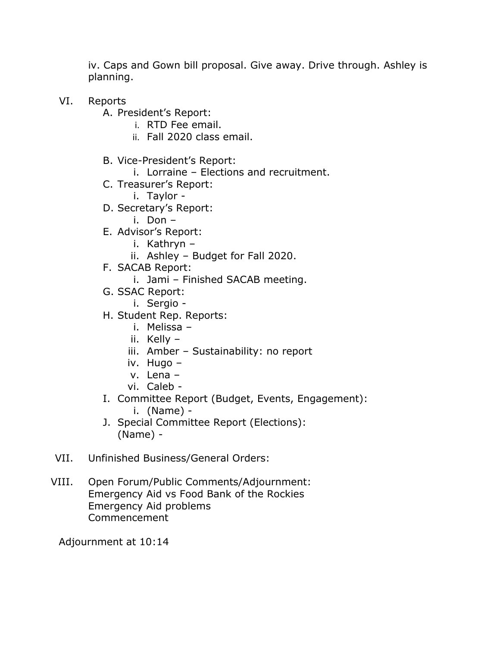iv. Caps and Gown bill proposal. Give away. Drive through. Ashley is planning.

- VI. Reports
	- A. President's Report:
		- i. RTD Fee email.
		- ii. Fall 2020 class email.
	- B. Vice-President's Report:
		- i. Lorraine Elections and recruitment.
	- C. Treasurer's Report:
		- i. Taylor -
	- D. Secretary's Report:
		- i. Don –
	- E. Advisor's Report:
		- i. Kathryn –
		- ii. Ashley Budget for Fall 2020.
	- F. SACAB Report:
		- i. Jami Finished SACAB meeting.
	- G. SSAC Report:
		- i. Sergio -
	- H. Student Rep. Reports:
		- i. Melissa –
		- ii. Kelly –
		- iii. Amber Sustainability: no report
		- iv. Hugo –
		- v. Lena –
		- vi. Caleb -
	- I. Committee Report (Budget, Events, Engagement):
		- i. (Name) -
	- J. Special Committee Report (Elections): (Name) -
- VII. Unfinished Business/General Orders:
- VIII. Open Forum/Public Comments/Adjournment: Emergency Aid vs Food Bank of the Rockies Emergency Aid problems Commencement

Adjournment at 10:14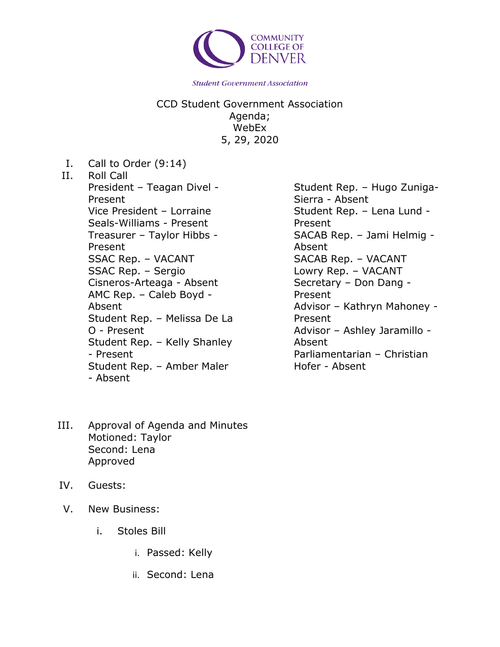

CCD Student Government Association Agenda; WebEx 5, 29, 2020

- I. Call to Order (9:14)
- II. Roll Call President – Teagan Divel - Present Vice President – Lorraine Seals-Williams - Present Treasurer – Taylor Hibbs - Present SSAC Rep. – VACANT SSAC Rep. – Sergio Cisneros-Arteaga - Absent AMC Rep. – Caleb Boyd - Absent Student Rep. – Melissa De La O - Present Student Rep. – Kelly Shanley - Present Student Rep. – Amber Maler - Absent
- III. Approval of Agenda and Minutes Motioned: Taylor Second: Lena Approved
- IV. Guests:
- V. New Business:
	- i. Stoles Bill
		- i. Passed: Kelly
		- ii. Second: Lena

Student Rep. – Hugo Zuniga-Sierra - Absent Student Rep. – Lena Lund - Present SACAB Rep. – Jami Helmig - Absent SACAB Rep. – VACANT Lowry Rep. – VACANT Secretary – Don Dang - Present Advisor – Kathryn Mahoney - Present Advisor – Ashley Jaramillo - Absent Parliamentarian – Christian Hofer - Absent